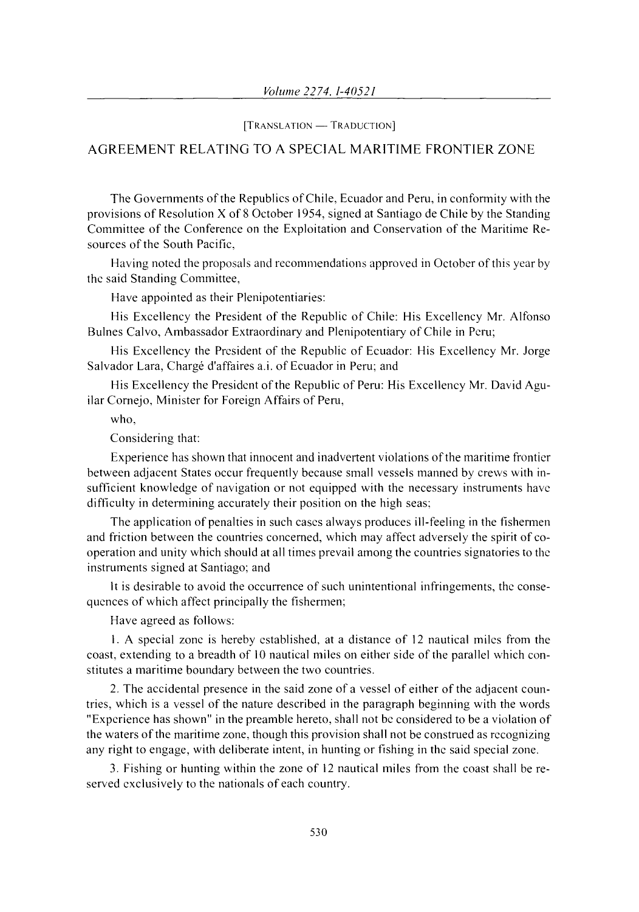[TRANSLATION - TRADUCTION]

## AGREEMENT RELATING TO A SPECIAL MARITIME FRONTIER ZONE

The Governments of the Republics of Chile, Ecuador and Peru, in conformity with the provisions of Resolution X of 8 October 1954, signed at Santiago de Chile by the Standing Committee of the Conference on the Exploitation and Conservation of the Maritime Resources of the South Pacific,

Having noted the proposals and recommendations approved in October of this year by the said Standing Committee,

Have appointed as their Plenipotentiaries:

His Excellency the President of the Republic of Chile: His Excellency Mr. Alfonso Bulnes Calvo, Ambassador Extraordinary and Plenipotentiary of Chile in Peru;

His Excellency the President of the Republic of Ecuador: His Excellency Mr. Jorge Salvador Lara, Chargé d'affaires a.i. of Ecuador in Peru; and

His Excellency the President of the Republic of Peru: His Excellency Mr. David Aguilar Cornejo, Minister for Foreign Affairs of Peru,

who,

Considering that:

Experience has shown that innocent and inadvertent violations of the maritime frontier between adjacent States occur frequently because small vessels manned by crews with insufficient knowledge of navigation or not equipped with the necessary instruments have difficulty in determining accurately their position on the high seas:

The application of penalties in such cases always produces ill-feeling in the fishermen and friction between the countries concerned, which may affect adversely the spirit of cooperation and unity which should at all times prevail among the countries signatories to the instruments signed at Santiago; and

It is desirable to avoid the occurrence of such unintentional infringements, the consequences of which affect principally the fishermen;

Have agreed as follows:

I. A special zone is hereby established, at a distance of 12 nautical miles from the coast, extending to a breadth of 10 nautical miles on either side of the parallel which constitutes a maritime boundary between the two countries.

2. The accidental presence in the said zone of a vessel of either of the adjacent countries, which is a vessel of the nature described in the paragraph beginning with the words "Experience has shown" in the preamble hereto, shall not be considered to be a violation of the waters of the maritime zone, though this provision shall not be construed as recognizing any right to engage, with deliberate intent, in hunting or fishing in the said special zone.

3. Fishing or hunting within the zone of 12 nautical miles from the coast shall be reserved exclusively to the nationals of each country.